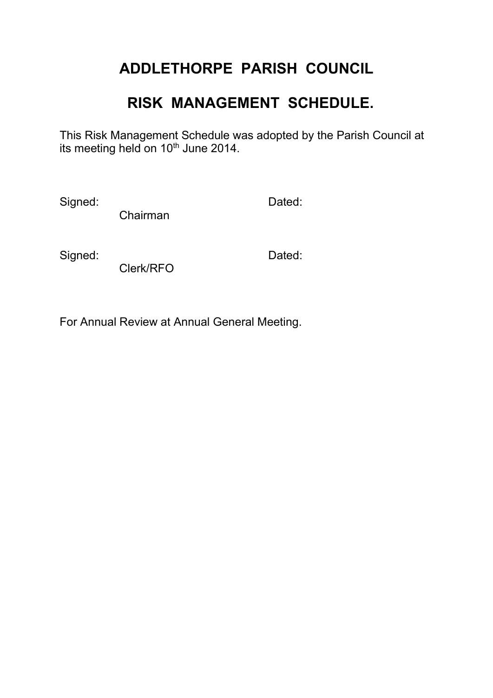## **ADDLETHORPE PARISH COUNCIL**

## **RISK MANAGEMENT SCHEDULE.**

This Risk Management Schedule was adopted by the Parish Council at its meeting held on 10<sup>th</sup> June 2014.

Signed: Dated:

Chairman

Signed: **Dated:** Dated:

Clerk/RFO

For Annual Review at Annual General Meeting.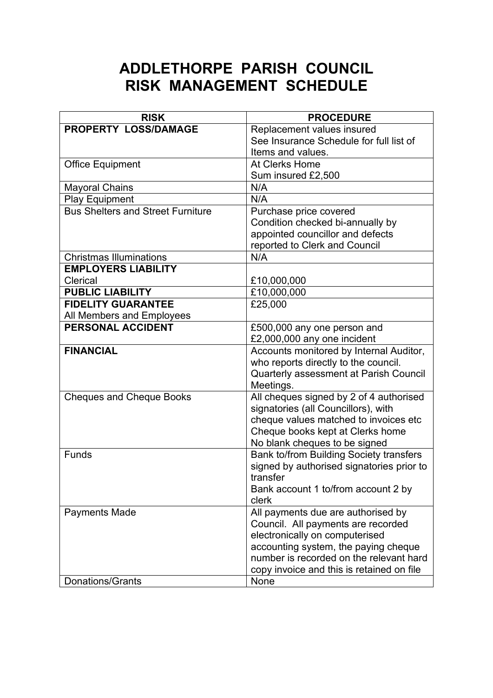## **ADDLETHORPE PARISH COUNCIL RISK MANAGEMENT SCHEDULE**

| <b>RISK</b>                              | <b>PROCEDURE</b>                          |
|------------------------------------------|-------------------------------------------|
| PROPERTY LOSS/DAMAGE                     | Replacement values insured                |
|                                          | See Insurance Schedule for full list of   |
|                                          | Items and values.                         |
| <b>Office Equipment</b>                  | At Clerks Home                            |
|                                          | Sum insured £2,500                        |
| <b>Mayoral Chains</b>                    | N/A                                       |
| <b>Play Equipment</b>                    | N/A                                       |
| <b>Bus Shelters and Street Furniture</b> | Purchase price covered                    |
|                                          | Condition checked bi-annually by          |
|                                          | appointed councillor and defects          |
|                                          | reported to Clerk and Council             |
| <b>Christmas Illuminations</b>           | N/A                                       |
| <b>EMPLOYERS LIABILITY</b>               |                                           |
| Clerical                                 | £10,000,000                               |
| <b>PUBLIC LIABILITY</b>                  | £10,000,000                               |
| <b>FIDELITY GUARANTEE</b>                | £25,000                                   |
| All Members and Employees                |                                           |
| <b>PERSONAL ACCIDENT</b>                 | £500,000 any one person and               |
|                                          | £2,000,000 any one incident               |
| <b>FINANCIAL</b>                         | Accounts monitored by Internal Auditor,   |
|                                          | who reports directly to the council.      |
|                                          | Quarterly assessment at Parish Council    |
|                                          | Meetings.                                 |
| <b>Cheques and Cheque Books</b>          | All cheques signed by 2 of 4 authorised   |
|                                          | signatories (all Councillors), with       |
|                                          | cheque values matched to invoices etc     |
|                                          | Cheque books kept at Clerks home          |
|                                          | No blank cheques to be signed             |
| Funds                                    | Bank to/from Building Society transfers   |
|                                          | signed by authorised signatories prior to |
|                                          | transfer                                  |
|                                          | Bank account 1 to/from account 2 by       |
|                                          | clerk                                     |
| <b>Payments Made</b>                     | All payments due are authorised by        |
|                                          | Council. All payments are recorded        |
|                                          | electronically on computerised            |
|                                          | accounting system, the paying cheque      |
|                                          | number is recorded on the relevant hard   |
|                                          | copy invoice and this is retained on file |
| Donations/Grants                         | None                                      |